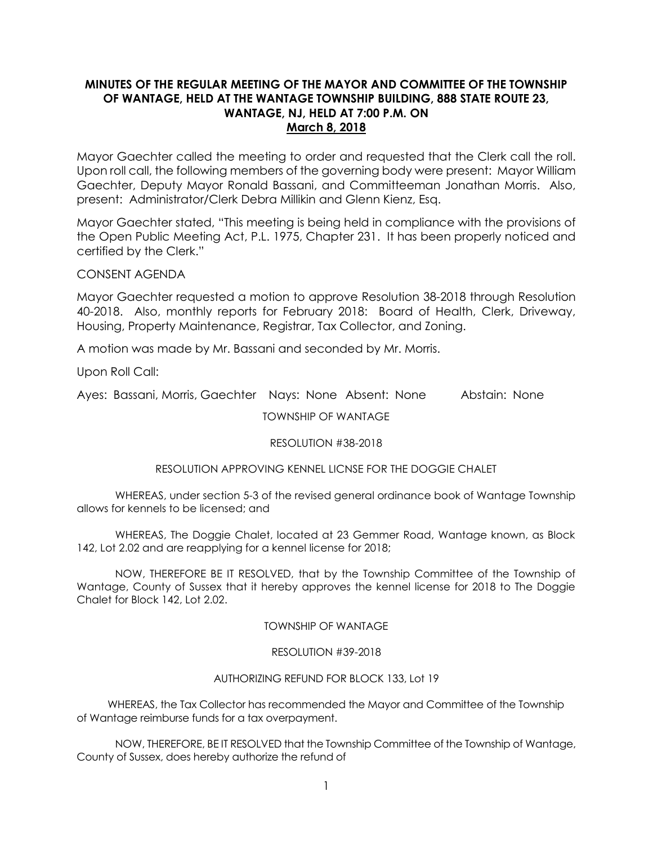# **MINUTES OF THE REGULAR MEETING OF THE MAYOR AND COMMITTEE OF THE TOWNSHIP OF WANTAGE, HELD AT THE WANTAGE TOWNSHIP BUILDING, 888 STATE ROUTE 23, WANTAGE, NJ, HELD AT 7:00 P.M. ON March 8, 2018**

Mayor Gaechter called the meeting to order and requested that the Clerk call the roll. Upon roll call, the following members of the governing body were present: Mayor William Gaechter, Deputy Mayor Ronald Bassani, and Committeeman Jonathan Morris. Also, present: Administrator/Clerk Debra Millikin and Glenn Kienz, Esq.

Mayor Gaechter stated, "This meeting is being held in compliance with the provisions of the Open Public Meeting Act, P.L. 1975, Chapter 231. It has been properly noticed and certified by the Clerk."

CONSENT AGENDA

Mayor Gaechter requested a motion to approve Resolution 38-2018 through Resolution 40-2018. Also, monthly reports for February 2018: Board of Health, Clerk, Driveway, Housing, Property Maintenance, Registrar, Tax Collector, and Zoning.

A motion was made by Mr. Bassani and seconded by Mr. Morris.

Upon Roll Call:

Ayes: Bassani, Morris, Gaechter Nays: None Absent: None Abstain: None

TOWNSHIP OF WANTAGE

### RESOLUTION #38-2018

### RESOLUTION APPROVING KENNEL LICNSE FOR THE DOGGIE CHALET

WHEREAS, under section 5-3 of the revised general ordinance book of Wantage Township allows for kennels to be licensed; and

WHEREAS, The Doggie Chalet, located at 23 Gemmer Road, Wantage known, as Block 142, Lot 2.02 and are reapplying for a kennel license for 2018;

NOW, THEREFORE BE IT RESOLVED, that by the Township Committee of the Township of Wantage, County of Sussex that it hereby approves the kennel license for 2018 to The Doggie Chalet for Block 142, Lot 2.02.

### TOWNSHIP OF WANTAGE

### RESOLUTION #39-2018

### AUTHORIZING REFUND FOR BLOCK 133, Lot 19

 WHEREAS, the Tax Collector has recommended the Mayor and Committee of the Township of Wantage reimburse funds for a tax overpayment.

NOW, THEREFORE, BE IT RESOLVED that the Township Committee of the Township of Wantage, County of Sussex, does hereby authorize the refund of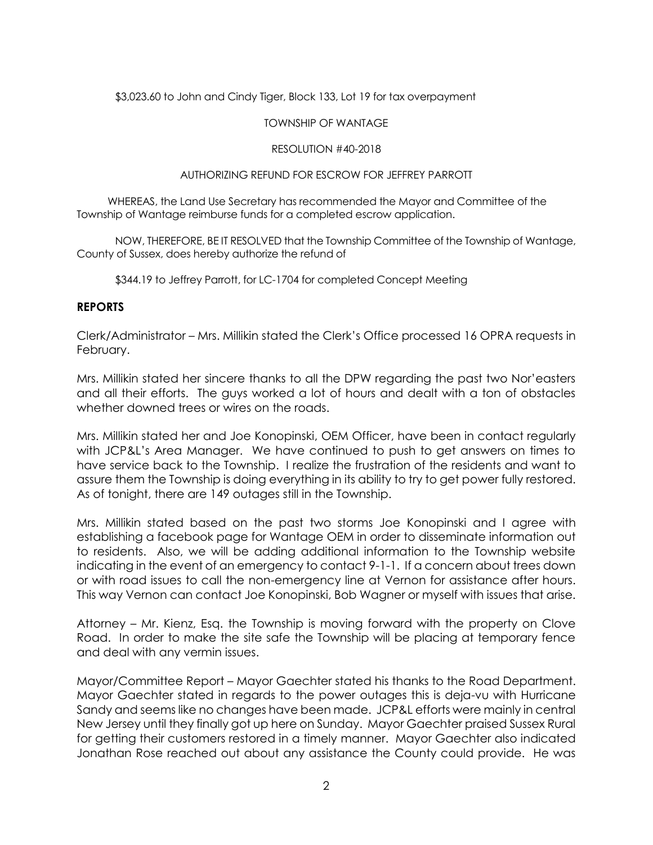\$3,023.60 to John and Cindy Tiger, Block 133, Lot 19 for tax overpayment

### TOWNSHIP OF WANTAGE

### RESOLUTION #40-2018

### AUTHORIZING REFUND FOR ESCROW FOR JEFFREY PARROTT

 WHEREAS, the Land Use Secretary has recommended the Mayor and Committee of the Township of Wantage reimburse funds for a completed escrow application.

NOW, THEREFORE, BE IT RESOLVED that the Township Committee of the Township of Wantage, County of Sussex, does hereby authorize the refund of

\$344.19 to Jeffrey Parrott, for LC-1704 for completed Concept Meeting

# **REPORTS**

Clerk/Administrator – Mrs. Millikin stated the Clerk's Office processed 16 OPRA requests in February.

Mrs. Millikin stated her sincere thanks to all the DPW regarding the past two Nor'easters and all their efforts. The guys worked a lot of hours and dealt with a ton of obstacles whether downed trees or wires on the roads.

Mrs. Millikin stated her and Joe Konopinski, OEM Officer, have been in contact regularly with JCP&L's Area Manager. We have continued to push to get answers on times to have service back to the Township. I realize the frustration of the residents and want to assure them the Township is doing everything in its ability to try to get power fully restored. As of tonight, there are 149 outages still in the Township.

Mrs. Millikin stated based on the past two storms Joe Konopinski and I agree with establishing a facebook page for Wantage OEM in order to disseminate information out to residents. Also, we will be adding additional information to the Township website indicating in the event of an emergency to contact 9-1-1. If a concern about trees down or with road issues to call the non-emergency line at Vernon for assistance after hours. This way Vernon can contact Joe Konopinski, Bob Wagner or myself with issues that arise.

Attorney – Mr. Kienz, Esq. the Township is moving forward with the property on Clove Road. In order to make the site safe the Township will be placing at temporary fence and deal with any vermin issues.

Mayor/Committee Report – Mayor Gaechter stated his thanks to the Road Department. Mayor Gaechter stated in regards to the power outages this is deja-vu with Hurricane Sandy and seems like no changes have been made. JCP&L efforts were mainly in central New Jersey until they finally got up here on Sunday. Mayor Gaechter praised Sussex Rural for getting their customers restored in a timely manner. Mayor Gaechter also indicated Jonathan Rose reached out about any assistance the County could provide. He was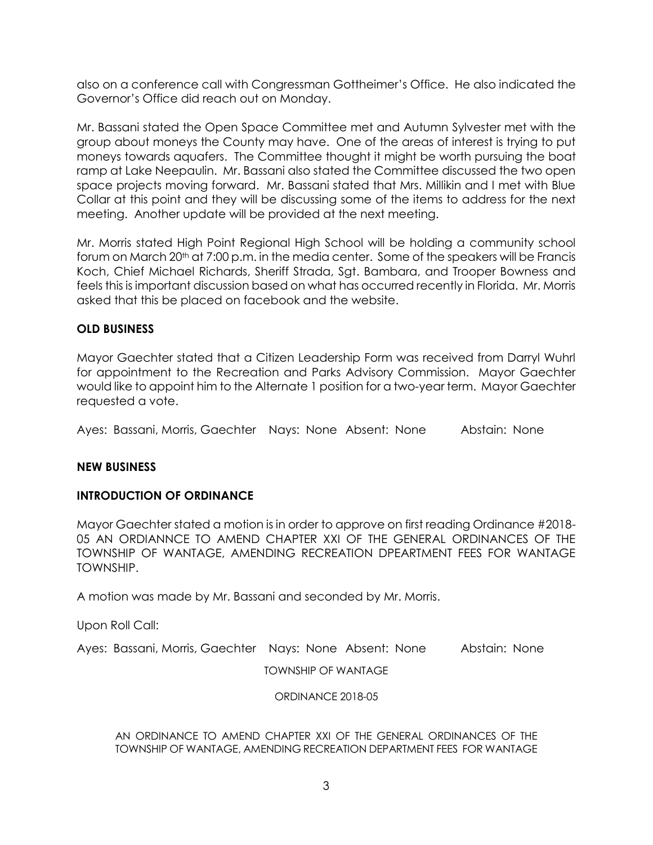also on a conference call with Congressman Gottheimer's Office. He also indicated the Governor's Office did reach out on Monday.

Mr. Bassani stated the Open Space Committee met and Autumn Sylvester met with the group about moneys the County may have. One of the areas of interest is trying to put moneys towards aquafers. The Committee thought it might be worth pursuing the boat ramp at Lake Neepaulin. Mr. Bassani also stated the Committee discussed the two open space projects moving forward. Mr. Bassani stated that Mrs. Millikin and I met with Blue Collar at this point and they will be discussing some of the items to address for the next meeting. Another update will be provided at the next meeting.

Mr. Morris stated High Point Regional High School will be holding a community school forum on March 20<sup>th</sup> at 7:00 p.m. in the media center. Some of the speakers will be Francis Koch, Chief Michael Richards, Sheriff Strada, Sgt. Bambara, and Trooper Bowness and feels this is important discussion based on what has occurred recently in Florida. Mr. Morris asked that this be placed on facebook and the website.

## **OLD BUSINESS**

Mayor Gaechter stated that a Citizen Leadership Form was received from Darryl Wuhrl for appointment to the Recreation and Parks Advisory Commission. Mayor Gaechter would like to appoint him to the Alternate 1 position for a two-year term. Mayor Gaechter requested a vote.

Ayes: Bassani, Morris, Gaechter Nays: None Absent: None Abstain: None

### **NEW BUSINESS**

### **INTRODUCTION OF ORDINANCE**

Mayor Gaechter stated a motion is in order to approve on first reading Ordinance #2018- 05 AN ORDIANNCE TO AMEND CHAPTER XXI OF THE GENERAL ORDINANCES OF THE TOWNSHIP OF WANTAGE, AMENDING RECREATION DPEARTMENT FEES FOR WANTAGE TOWNSHIP.

A motion was made by Mr. Bassani and seconded by Mr. Morris.

Upon Roll Call:

Ayes: Bassani, Morris, Gaechter Nays: None Absent: None Abstain: None

TOWNSHIP OF WANTAGE

ORDINANCE 2018-05

AN ORDINANCE TO AMEND CHAPTER XXI OF THE GENERAL ORDINANCES OF THE TOWNSHIP OF WANTAGE, AMENDING RECREATION DEPARTMENT FEES FOR WANTAGE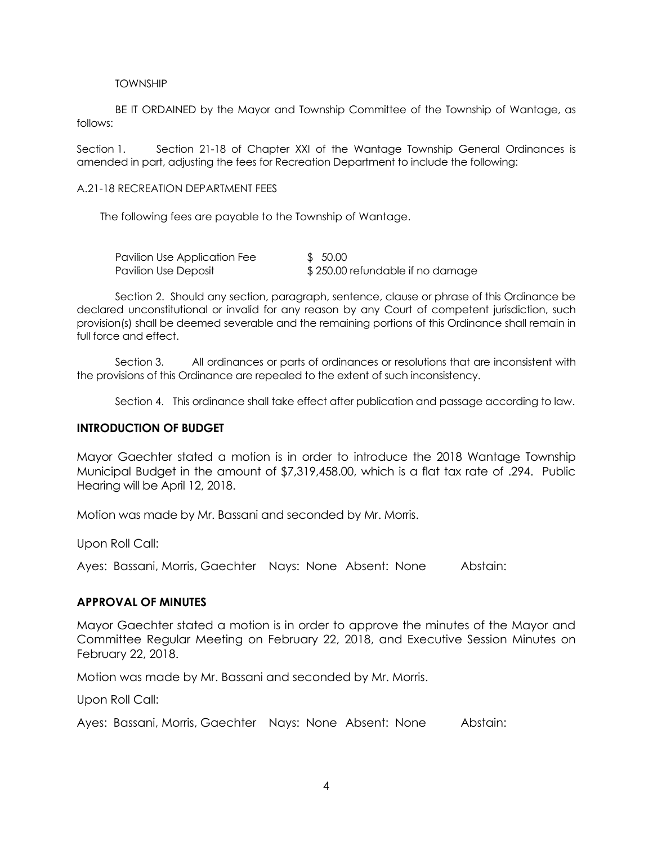#### TOWNSHIP

BE IT ORDAINED by the Mayor and Township Committee of the Township of Wantage, as follows:

Section 1. Section 21-18 of Chapter XXI of the Wantage Township General Ordinances is amended in part, adjusting the fees for Recreation Department to include the following:

A.21-18 RECREATION DEPARTMENT FEES

The following fees are payable to the Township of Wantage.

| Pavilion Use Application Fee | \$ 50.00                         |
|------------------------------|----------------------------------|
| Pavilion Use Deposit         | \$250.00 refundable if no damage |

Section 2. Should any section, paragraph, sentence, clause or phrase of this Ordinance be declared unconstitutional or invalid for any reason by any Court of competent jurisdiction, such provision(s) shall be deemed severable and the remaining portions of this Ordinance shall remain in full force and effect.

Section 3. All ordinances or parts of ordinances or resolutions that are inconsistent with the provisions of this Ordinance are repealed to the extent of such inconsistency.

Section 4. This ordinance shall take effect after publication and passage according to law.

### **INTRODUCTION OF BUDGET**

Mayor Gaechter stated a motion is in order to introduce the 2018 Wantage Township Municipal Budget in the amount of \$7,319,458.00, which is a flat tax rate of .294. Public Hearing will be April 12, 2018.

Motion was made by Mr. Bassani and seconded by Mr. Morris.

Upon Roll Call:

Ayes: Bassani, Morris, Gaechter Nays: None Absent: None Abstain:

### **APPROVAL OF MINUTES**

Mayor Gaechter stated a motion is in order to approve the minutes of the Mayor and Committee Regular Meeting on February 22, 2018, and Executive Session Minutes on February 22, 2018.

Motion was made by Mr. Bassani and seconded by Mr. Morris.

Upon Roll Call:

Ayes: Bassani, Morris, Gaechter Nays: None Absent: None Abstain: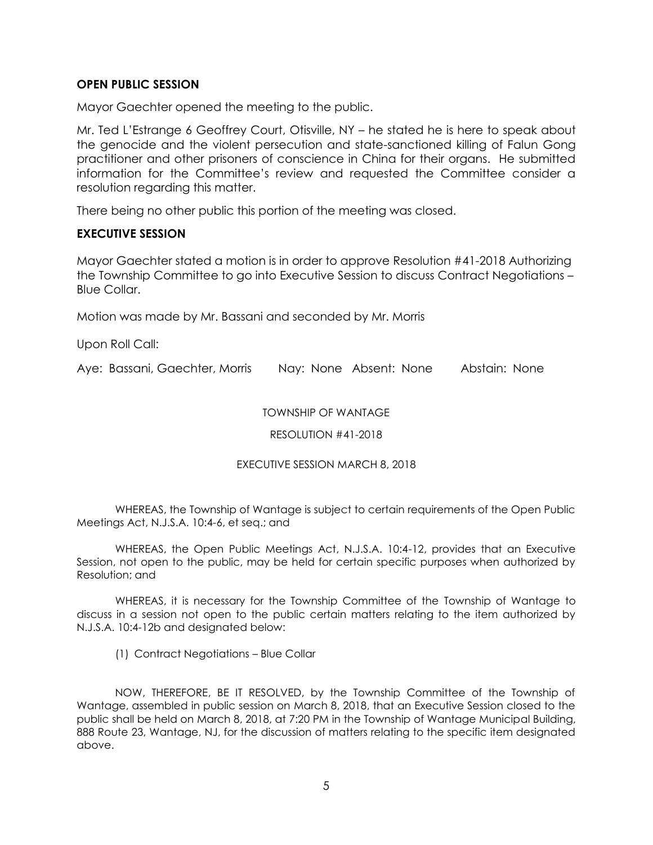# **OPEN PUBLIC SESSION**

Mayor Gaechter opened the meeting to the public.

Mr. Ted L'Estrange 6 Geoffrey Court, Otisville, NY – he stated he is here to speak about the genocide and the violent persecution and state-sanctioned killing of Falun Gong practitioner and other prisoners of conscience in China for their organs. He submitted information for the Committee's review and requested the Committee consider a resolution regarding this matter.

There being no other public this portion of the meeting was closed.

## **EXECUTIVE SESSION**

Mayor Gaechter stated a motion is in order to approve Resolution #41-2018 Authorizing the Township Committee to go into Executive Session to discuss Contract Negotiations – Blue Collar.

Motion was made by Mr. Bassani and seconded by Mr. Morris

Upon Roll Call:

Aye: Bassani, Gaechter, Morris Nay: None Absent: None Abstain: None

## TOWNSHIP OF WANTAGE

RESOLUTION #41-2018

### EXECUTIVE SESSION MARCH 8, 2018

WHEREAS, the Township of Wantage is subject to certain requirements of the Open Public Meetings Act, N.J.S.A. 10:4-6, et seq.; and

WHEREAS, the Open Public Meetings Act, N.J.S.A. 10:4-12, provides that an Executive Session, not open to the public, may be held for certain specific purposes when authorized by Resolution; and

WHEREAS, it is necessary for the Township Committee of the Township of Wantage to discuss in a session not open to the public certain matters relating to the item authorized by N.J.S.A. 10:4-12b and designated below:

(1) Contract Negotiations – Blue Collar

NOW, THEREFORE, BE IT RESOLVED, by the Township Committee of the Township of Wantage, assembled in public session on March 8, 2018, that an Executive Session closed to the public shall be held on March 8, 2018, at 7:20 PM in the Township of Wantage Municipal Building, 888 Route 23, Wantage, NJ, for the discussion of matters relating to the specific item designated above.